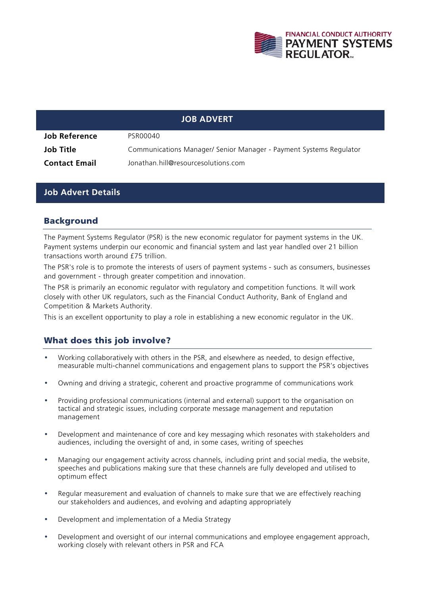

# **JOB ADVERT Job Reference** PSR00040 **Job Title Communications Manager/ Senior Manager - Payment Systems Regulator Contact Email** Jonathan.hill@resourcesolutions.com

#### **Job Advert Details**

#### Background

The Payment Systems Regulator (PSR) is the new economic regulator for payment systems in the UK. Payment systems underpin our economic and financial system and last year handled over 21 billion transactions worth around £75 trillion.

The PSR's role is to promote the interests of users of payment systems - such as consumers, businesses and government - through greater competition and innovation.

The PSR is primarily an economic regulator with regulatory and competition functions. It will work closely with other UK regulators, such as the Financial Conduct Authority, Bank of England and Competition & Markets Authority.

This is an excellent opportunity to play a role in establishing a new economic regulator in the UK.

## What does this job involve?

- Working collaboratively with others in the PSR, and elsewhere as needed, to design effective, measurable multi-channel communications and engagement plans to support the PSR's objectives
- Owning and driving a strategic, coherent and proactive programme of communications work
- Providing professional communications (internal and external) support to the organisation on tactical and strategic issues, including corporate message management and reputation management
- Development and maintenance of core and key messaging which resonates with stakeholders and audiences, including the oversight of and, in some cases, writing of speeches
- Managing our engagement activity across channels, including print and social media, the website, speeches and publications making sure that these channels are fully developed and utilised to optimum effect
- Regular measurement and evaluation of channels to make sure that we are effectively reaching our stakeholders and audiences, and evolving and adapting appropriately
- Development and implementation of a Media Strategy
- Development and oversight of our internal communications and employee engagement approach, working closely with relevant others in PSR and FCA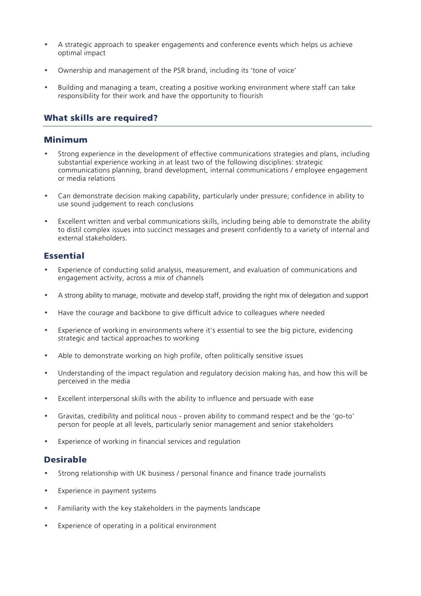- A strategic approach to speaker engagements and conference events which helps us achieve optimal impact
- Ownership and management of the PSR brand, including its 'tone of voice'
- Building and managing a team, creating a positive working environment where staff can take responsibility for their work and have the opportunity to flourish

## What skills are required?

#### Minimum

- Strong experience in the development of effective communications strategies and plans, including substantial experience working in at least two of the following disciplines: strategic communications planning, brand development, internal communications / employee engagement or media relations
- Can demonstrate decision making capability, particularly under pressure; confidence in ability to use sound judgement to reach conclusions
- Excellent written and verbal communications skills, including being able to demonstrate the ability to distil complex issues into succinct messages and present confidently to a variety of internal and external stakeholders.

## **Essential**

- Experience of conducting solid analysis, measurement, and evaluation of communications and engagement activity, across a mix of channels
- A strong ability to manage, motivate and develop staff, providing the right mix of delegation and support
- Have the courage and backbone to give difficult advice to colleagues where needed
- Experience of working in environments where it's essential to see the big picture, evidencing strategic and tactical approaches to working
- Able to demonstrate working on high profile, often politically sensitive issues
- Understanding of the impact regulation and regulatory decision making has, and how this will be perceived in the media
- Excellent interpersonal skills with the ability to influence and persuade with ease
- Gravitas, credibility and political nous proven ability to command respect and be the 'go-to' person for people at all levels, particularly senior management and senior stakeholders
- Experience of working in financial services and regulation

## Desirable

- Strong relationship with UK business / personal finance and finance trade journalists
- Experience in payment systems
- Familiarity with the key stakeholders in the payments landscape
- Experience of operating in a political environment